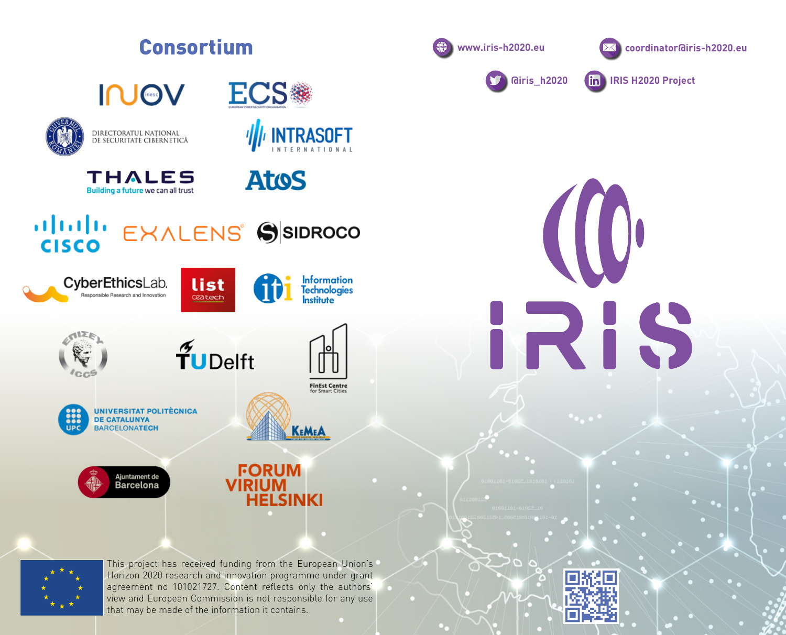